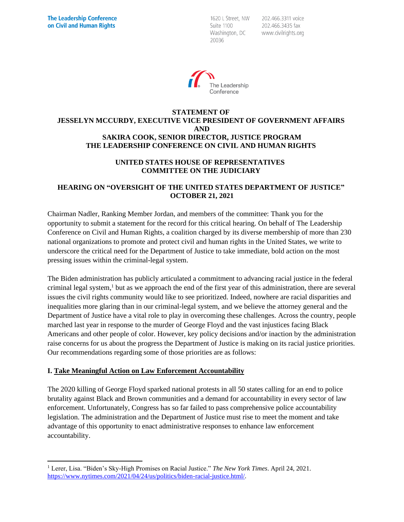1620 L Street, NW Suite 1100 Washington, DC 20036

202.466.3311 voice 202.466.3435 fax www.civilrights.org



#### **STATEMENT OF JESSELYN MCCURDY, EXECUTIVE VICE PRESIDENT OF GOVERNMENT AFFAIRS AND SAKIRA COOK, SENIOR DIRECTOR, JUSTICE PROGRAM THE LEADERSHIP CONFERENCE ON CIVIL AND HUMAN RIGHTS**

#### **UNITED STATES HOUSE OF REPRESENTATIVES COMMITTEE ON THE JUDICIARY**

#### **HEARING ON "OVERSIGHT OF THE UNITED STATES DEPARTMENT OF JUSTICE" OCTOBER 21, 2021**

Chairman Nadler, Ranking Member Jordan, and members of the committee: Thank you for the opportunity to submit a statement for the record for this critical hearing. On behalf of The Leadership Conference on Civil and Human Rights, a coalition charged by its diverse membership of more than 230 national organizations to promote and protect civil and human rights in the United States, we write to underscore the critical need for the Department of Justice to take immediate, bold action on the most pressing issues within the criminal-legal system.

The Biden administration has publicly articulated a commitment to advancing racial justice in the federal criminal legal system,<sup>1</sup> but as we approach the end of the first year of this administration, there are several issues the civil rights community would like to see prioritized. Indeed, nowhere are racial disparities and inequalities more glaring than in our criminal-legal system, and we believe the attorney general and the Department of Justice have a vital role to play in overcoming these challenges. Across the country, people marched last year in response to the murder of George Floyd and the vast injustices facing Black Americans and other people of color. However, key policy decisions and/or inaction by the administration raise concerns for us about the progress the Department of Justice is making on its racial justice priorities. Our recommendations regarding some of those priorities are as follows:

## **I. Take Meaningful Action on Law Enforcement Accountability**

The 2020 killing of George Floyd sparked national protests in all 50 states calling for an end to police brutality against Black and Brown communities and a demand for accountability in every sector of law enforcement. Unfortunately, Congress has so far failed to pass comprehensive police accountability legislation. The administration and the Department of Justice must rise to meet the moment and take advantage of this opportunity to enact administrative responses to enhance law enforcement accountability.

<sup>1</sup> Lerer, Lisa. "Biden's Sky-High Promises on Racial Justice." *The New York Times*. April 24, 2021. [https://www.nytimes.com/2021/04/24/us/politics/biden-racial-justice.html/.](https://www.nytimes.com/2021/04/24/us/politics/biden-racial-justice.html/)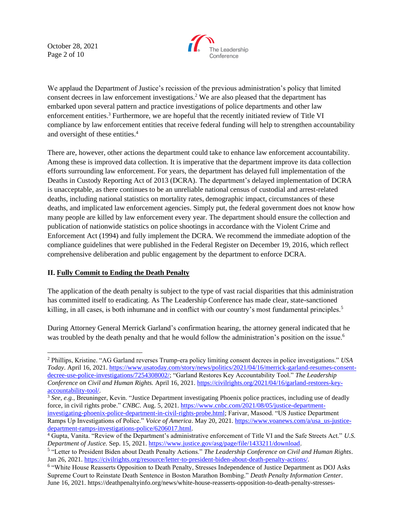October 28, 2021 Page 2 of 10



We applaud the Department of Justice's recission of the previous administration's policy that limited consent decrees in law enforcement investigations.<sup>2</sup> We are also pleased that the department has embarked upon several pattern and practice investigations of police departments and other law enforcement entities.<sup>3</sup> Furthermore, we are hopeful that the recently initiated review of Title VI compliance by law enforcement entities that receive federal funding will help to strengthen accountability and oversight of these entities.<sup>4</sup>

There are, however, other actions the department could take to enhance law enforcement accountability. Among these is improved data collection. It is imperative that the department improve its data collection efforts surrounding law enforcement. For years, the department has delayed full implementation of the Deaths in Custody Reporting Act of 2013 (DCRA). The department's delayed implementation of DCRA is unacceptable, as there continues to be an unreliable national census of custodial and arrest-related deaths, including national statistics on mortality rates, demographic impact, circumstances of these deaths, and implicated law enforcement agencies. Simply put, the federal government does not know how many people are killed by law enforcement every year. The department should ensure the collection and publication of nationwide statistics on police shootings in accordance with the Violent Crime and Enforcement Act (1994) and fully implement the DCRA. We recommend the immediate adoption of the compliance guidelines that were published in the Federal Register on December 19, 2016, which reflect comprehensive deliberation and public engagement by the department to enforce DCRA.

## **II. Fully Commit to Ending the Death Penalty**

The application of the death penalty is subject to the type of vast racial disparities that this administration has committed itself to eradicating. As The Leadership Conference has made clear, state-sanctioned killing, in all cases, is both inhumane and in conflict with our country's most fundamental principles.<sup>5</sup>

During Attorney General Merrick Garland's confirmation hearing, the attorney general indicated that he was troubled by the death penalty and that he would follow the administration's position on the issue.<sup>6</sup>

<sup>2</sup> Phillips, Kristine. "AG Garland reverses Trump-era policy limiting consent decrees in police investigations." *USA Today*. April 16, 2021[. https://www.usatoday.com/story/news/politics/2021/04/16/merrick-garland-resumes-consent](https://www.usatoday.com/story/news/politics/2021/04/16/merrick-garland-resumes-consent-decree-use-police-investigations/7254308002/)[decree-use-police-investigations/7254308002/;](https://www.usatoday.com/story/news/politics/2021/04/16/merrick-garland-resumes-consent-decree-use-police-investigations/7254308002/) "Garland Restores Key Accountability Tool." *The Leadership Conference on Civil and Human Rights.* April 16, 2021[. https://civilrights.org/2021/04/16/garland-restores-key](https://civilrights.org/2021/04/16/garland-restores-key-accountability-tool/)[accountability-tool/.](https://civilrights.org/2021/04/16/garland-restores-key-accountability-tool/) 

<sup>3</sup> *See, e.g.*, Breuninger, Kevin. "Justice Department investigating Phoenix police practices, including use of deadly force, in civil rights probe." *CNBC*. Aug. 5, 2021. [https://www.cnbc.com/2021/08/05/justice-department](https://www.cnbc.com/2021/08/05/justice-department-investigating-phoenix-police-department-in-civil-rights-probe.html)[investigating-phoenix-police-department-in-civil-rights-probe.html;](https://www.cnbc.com/2021/08/05/justice-department-investigating-phoenix-police-department-in-civil-rights-probe.html) Farivar, Masood. "US Justice Department Ramps Up Investigations of Police." *Voice of America*. May 20, 2021. [https://www.voanews.com/a/usa\\_us-justice](https://www.voanews.com/a/usa_us-justice-department-ramps-investigations-police/6206017.html)[department-ramps-investigations-police/6206017.html.](https://www.voanews.com/a/usa_us-justice-department-ramps-investigations-police/6206017.html)

<sup>4</sup> Gupta, Vanita. "Review of the Department's administrative enforcement of Title VI and the Safe Streets Act." *U.S. Department of Justice.* Sep. 15, 2021. [https://www.justice.gov/asg/page/file/1433211/download.](https://www.justice.gov/asg/page/file/1433211/download)

<sup>5</sup> "Letter to President Biden about Death Penalty Actions." *The Leadership Conference on Civil and Human Rights*. Jan 26, 2021. [https://civilrights.org/resource/letter-to-president-biden-about-death-penalty-actions/.](https://civilrights.org/resource/letter-to-president-biden-about-death-penalty-actions/) 

<sup>&</sup>lt;sup>6</sup> "White House Reasserts Opposition to Death Penalty, Stresses Independence of Justice Department as DOJ Asks Supreme Court to Reinstate Death Sentence in Boston Marathon Bombing." *Death Penalty Information Center*. June 16, 2021. [https://deathpenaltyinfo.org/news/white-house-reasserts-opposition-to-death-penalty-stresses-](https://deathpenaltyinfo.org/news/white-house-reasserts-opposition-to-death-penalty-stresses-independence-of-justice-department-as-doj-asks-supreme-court-to-reinstate-death-sentence-in-boston-marathon-bombing)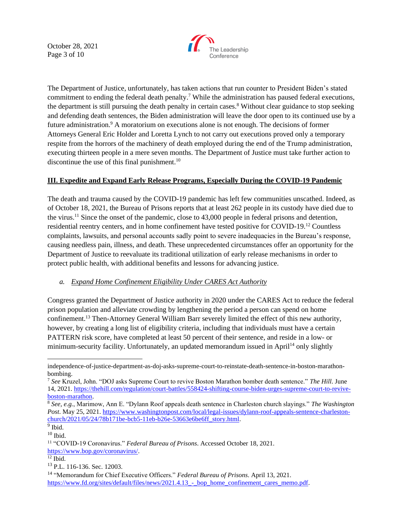October 28, 2021 Page 3 of 10



The Department of Justice, unfortunately, has taken actions that run counter to President Biden's stated commitment to ending the federal death penalty.<sup>7</sup> While the administration has paused federal executions, the department is still pursuing the death penalty in certain cases.<sup>8</sup> Without clear guidance to stop seeking and defending death sentences, the Biden administration will leave the door open to its continued use by a future administration.<sup>9</sup> A moratorium on executions alone is not enough. The decisions of former Attorneys General Eric Holder and Loretta Lynch to not carry out executions proved only a temporary respite from the horrors of the machinery of death employed during the end of the Trump administration, executing thirteen people in a mere seven months. The Department of Justice must take further action to discontinue the use of this final punishment. $^{10}$ 

#### **III. Expedite and Expand Early Release Programs, Especially During the COVID-19 Pandemic**

The death and trauma caused by the COVID-19 pandemic has left few communities unscathed. Indeed, as of October 18, 2021, the Bureau of Prisons reports that at least 262 people in its custody have died due to the virus.<sup>11</sup> Since the onset of the pandemic, close to 43,000 people in federal prisons and detention, residential reentry centers, and in home confinement have tested positive for COVID-19.<sup>12</sup> Countless complaints, lawsuits, and personal accounts sadly point to severe inadequacies in the Bureau's response, causing needless pain, illness, and death. These unprecedented circumstances offer an opportunity for the Department of Justice to reevaluate its traditional utilization of early release mechanisms in order to protect public health, with additional benefits and lessons for advancing justice.

## *a. Expand Home Confinement Eligibility Under CARES Act Authority*

Congress granted the Department of Justice authority in 2020 under the CARES Act to reduce the federal prison population and alleviate crowding by lengthening the period a person can spend on home confinement.<sup>13</sup> Then-Attorney General William Barr severely limited the effect of this new authority, however, by creating a long list of eligibility criteria, including that individuals must have a certain PATTERN risk score, have completed at least 50 percent of their sentence, and reside in a low- or minimum-security facility. Unfortunately, an updated memorandum issued in April<sup>14</sup> only slightly

[independence-of-justice-department-as-doj-asks-supreme-court-to-reinstate-death-sentence-in-boston-marathon](https://deathpenaltyinfo.org/news/white-house-reasserts-opposition-to-death-penalty-stresses-independence-of-justice-department-as-doj-asks-supreme-court-to-reinstate-death-sentence-in-boston-marathon-bombing)[bombing.](https://deathpenaltyinfo.org/news/white-house-reasserts-opposition-to-death-penalty-stresses-independence-of-justice-department-as-doj-asks-supreme-court-to-reinstate-death-sentence-in-boston-marathon-bombing)

<sup>7</sup> *See* Kruzel, John. "DOJ asks Supreme Court to revive Boston Marathon bomber death sentence." *The Hill*. June 14, 2021. [https://thehill.com/regulation/court-battles/558424-shifting-course-biden-urges-supreme-court-to-revive](https://thehill.com/regulation/court-battles/558424-shifting-course-biden-urges-supreme-court-to-revive-boston-marathon)[boston-marathon.](https://thehill.com/regulation/court-battles/558424-shifting-course-biden-urges-supreme-court-to-revive-boston-marathon)

<sup>8</sup> *See, e.g.*, Marimow, Ann E. "Dylann Roof appeals death sentence in Charleston church slayings." *The Washington Post*. May 25, 2021. [https://www.washingtonpost.com/local/legal-issues/dylann-roof-appeals-sentence-charleston](https://www.washingtonpost.com/local/legal-issues/dylann-roof-appeals-sentence-charleston-church/2021/05/24/78b171be-bcb5-11eb-b26e-53663e6be6ff_story.html)[church/2021/05/24/78b171be-bcb5-11eb-b26e-53663e6be6ff\\_story.html.](https://www.washingtonpost.com/local/legal-issues/dylann-roof-appeals-sentence-charleston-church/2021/05/24/78b171be-bcb5-11eb-b26e-53663e6be6ff_story.html)

<sup>&</sup>lt;sup>9</sup> Ibid.

 $10$  Ibid.

<sup>11</sup> "COVID-19 Coronavirus." *Federal Bureau of Prisons*. Accessed October 18, 2021. [https://www.bop.gov/coronavirus/.](https://www.bop.gov/coronavirus/)

 $12$  Ibid.

<sup>13</sup> P.L. 116-136. Sec. 12003.

<sup>14</sup> "Memorandum for Chief Executive Officers." *Federal Bureau of Prisons*. April 13, 2021. https://www.fd.org/sites/default/files/news/2021.4.13 - bop\_home\_confinement\_cares\_memo.pdf.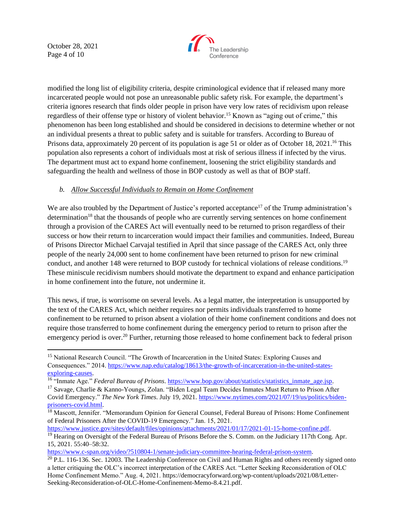October 28, 2021 Page 4 of 10



modified the long list of eligibility criteria, despite criminological evidence that if released many more incarcerated people would not pose an unreasonable public safety risk. For example, the department's criteria ignores research that finds older people in prison have very low rates of recidivism upon release regardless of their offense type or history of violent behavior.<sup>15</sup> Known as "aging out of crime," this phenomenon has been long established and should be considered in decisions to determine whether or not an individual presents a threat to public safety and is suitable for transfers. According to Bureau of Prisons data, approximately 20 percent of its population is age 51 or older as of October 18, 2021.<sup>16</sup> This population also represents a cohort of individuals most at risk of serious illness if infected by the virus. The department must act to expand home confinement, loosening the strict eligibility standards and safeguarding the health and wellness of those in BOP custody as well as that of BOP staff.

## *b. Allow Successful Individuals to Remain on Home Confinement*

We are also troubled by the Department of Justice's reported acceptance<sup>17</sup> of the Trump administration's determination<sup>18</sup> that the thousands of people who are currently serving sentences on home confinement through a provision of the CARES Act will eventually need to be returned to prison regardless of their success or how their return to incarceration would impact their families and communities. Indeed, Bureau of Prisons Director Michael Carvajal testified in April that since passage of the CARES Act, only three people of the nearly 24,000 sent to home confinement have been returned to prison for new criminal conduct, and another 148 were returned to BOP custody for technical violations of release conditions.<sup>19</sup> These miniscule recidivism numbers should motivate the department to expand and enhance participation in home confinement into the future, not undermine it.

This news, if true, is worrisome on several levels. As a legal matter, the interpretation is unsupported by the text of the CARES Act, which neither requires nor permits individuals transferred to home confinement to be returned to prison absent a violation of their home confinement conditions and does not require those transferred to home confinement during the emergency period to return to prison after the emergency period is over.<sup>20</sup> Further, returning those released to home confinement back to federal prison

[https://www.c-span.org/video/?510804-1/senate-judiciary-committee-hearing-federal-prison-system.](https://www.c-span.org/video/?510804-1/senate-judiciary-committee-hearing-federal-prison-system)

<sup>&</sup>lt;sup>15</sup> National Research Council. "The Growth of Incarceration in the United States: Exploring Causes and Consequences." 2014[. https://www.nap.edu/catalog/18613/the-growth-of-incarceration-in-the-united-states](https://www.nap.edu/catalog/18613/the-growth-of-incarceration-in-the-united-states-exploring-causes)[exploring-causes.](https://www.nap.edu/catalog/18613/the-growth-of-incarceration-in-the-united-states-exploring-causes)

<sup>&</sup>lt;sup>16</sup> "Inmate Age." *Federal Bureau of Prisons.* [https://www.bop.gov/about/statistics/statistics\\_inmate\\_age.jsp.](https://www.bop.gov/about/statistics/statistics_inmate_age.jsp)

<sup>&</sup>lt;sup>17</sup> Savage, Charlie & Kanno-Youngs, Zolan. "Biden Legal Team Decides Inmates Must Return to Prison After Covid Emergency." *The New York Times*. July 19, 2021. [https://www.nytimes.com/2021/07/19/us/politics/biden](https://www.nytimes.com/2021/07/19/us/politics/biden-prisoners-covid.html)[prisoners-covid.html.](https://www.nytimes.com/2021/07/19/us/politics/biden-prisoners-covid.html)

<sup>&</sup>lt;sup>18</sup> Mascott, Jennifer. "Memorandum Opinion for General Counsel, Federal Bureau of Prisons: Home Confinement of Federal Prisoners After the COVID-19 Emergency." Jan. 15, 2021.

[https://www.justice.gov/sites/default/files/opinions/attachments/2021/01/17/2021-01-15-home-confine.pdf.](https://www.justice.gov/sites/default/files/opinions/attachments/2021/01/17/2021-01-15-home-confine.pdf) <sup>19</sup> Hearing on Oversight of the Federal Bureau of Prisons Before the S. Comm. on the Judiciary 117th Cong. Apr. 15, 2021. 55:40–58:32.

 $^{20}$  P.L. 116-136. Sec. 12003. The Leadership Conference on Civil and Human Rights and others recently signed onto a letter critiquing the OLC's incorrect interpretation of the CARES Act. "Letter Seeking Reconsideration of OLC Home Confinement Memo." Aug. 4, 2021. [https://democracyforward.org/wp-content/uploads/2021/08/Letter-](https://democracyforward.org/wp-content/uploads/2021/08/Letter-Seeking-Reconsideration-of-OLC-Home-Confinement-Memo-8.4.21.pdf)[Seeking-Reconsideration-of-OLC-Home-Confinement-Memo-8.4.21.pdf.](https://democracyforward.org/wp-content/uploads/2021/08/Letter-Seeking-Reconsideration-of-OLC-Home-Confinement-Memo-8.4.21.pdf)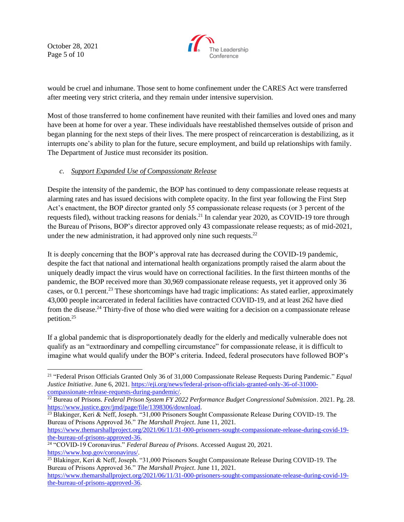October 28, 2021 Page 5 of 10



would be cruel and inhumane. Those sent to home confinement under the CARES Act were transferred after meeting very strict criteria, and they remain under intensive supervision.

Most of those transferred to home confinement have reunited with their families and loved ones and many have been at home for over a year. These individuals have reestablished themselves outside of prison and began planning for the next steps of their lives. The mere prospect of reincarceration is destabilizing, as it interrupts one's ability to plan for the future, secure employment, and build up relationships with family. The Department of Justice must reconsider its position.

## *c. Support Expanded Use of Compassionate Release*

Despite the intensity of the pandemic, the BOP has continued to deny compassionate release requests at alarming rates and has issued decisions with complete opacity. In the first year following the First Step Act's enactment, the BOP director granted only 55 compassionate release requests (or 3 percent of the requests filed), without tracking reasons for denials.<sup>21</sup> In calendar year 2020, as COVID-19 tore through the Bureau of Prisons, BOP's director approved only 43 compassionate release requests; as of mid-2021, under the new administration, it had approved only nine such requests.<sup>22</sup>

It is deeply concerning that the BOP's approval rate has decreased during the COVID-19 pandemic, despite the fact that national and international health organizations promptly raised the alarm about the uniquely deadly impact the virus would have on correctional facilities. In the first thirteen months of the pandemic, the BOP received more than 30,969 compassionate release requests, yet it approved only 36 cases, or 0.1 percent.<sup>23</sup> These shortcomings have had tragic implications: As stated earlier, approximately 43,000 people incarcerated in federal facilities have contracted COVID-19, and at least 262 have died from the disease.<sup>24</sup> Thirty-five of those who died were waiting for a decision on a compassionate release petition.<sup>25</sup>

If a global pandemic that is disproportionately deadly for the elderly and medically vulnerable does not qualify as an "extraordinary and compelling circumstance" for compassionate release, it is difficult to imagine what would qualify under the BOP's criteria. Indeed, federal prosecutors have followed BOP's

[https://www.themarshallproject.org/2021/06/11/31-000-prisoners-sought-compassionate-release-during-covid-19](https://www.themarshallproject.org/2021/06/11/31-000-prisoners-sought-compassionate-release-during-covid-19-the-bureau-of-prisons-approved-36) [the-bureau-of-prisons-approved-36.](https://www.themarshallproject.org/2021/06/11/31-000-prisoners-sought-compassionate-release-during-covid-19-the-bureau-of-prisons-approved-36)

<sup>21</sup> "Federal Prison Officials Granted Only 36 of 31,000 Compassionate Release Requests During Pandemic." *Equal Justice Initiative*. June 6, 2021. [https://eji.org/news/federal-prison-officials-granted-only-36-of-31000](https://eji.org/news/federal-prison-officials-granted-only-36-of-31000-compassionate-release-requests-during-pandemic/) [compassionate-release-requests-during-pandemic/.](https://eji.org/news/federal-prison-officials-granted-only-36-of-31000-compassionate-release-requests-during-pandemic/)

<sup>22</sup> Bureau of Prisons. *Federal Prison System FY 2022 Performance Budget Congressional Submission*. 2021. Pg. 28. [https://www.justice.gov/jmd/page/file/1398306/download.](https://www.justice.gov/jmd/page/file/1398306/download)

<sup>&</sup>lt;sup>23</sup> Blakinger, Keri & Neff, Joseph. "31,000 Prisoners Sought Compassionate Release During COVID-19. The Bureau of Prisons Approved 36." *The Marshall Project*. June 11, 2021.

<sup>24</sup> "COVID-19 Coronavirus." *Federal Bureau of Prisons*. Accessed August 20, 2021. [https://www.bop.gov/coronavirus/.](https://www.bop.gov/coronavirus/)

<sup>&</sup>lt;sup>25</sup> Blakinger, Keri & Neff, Joseph. "31,000 Prisoners Sought Compassionate Release During COVID-19. The Bureau of Prisons Approved 36." *The Marshall Project*. June 11, 2021. [https://www.themarshallproject.org/2021/06/11/31-000-prisoners-sought-compassionate-release-during-covid-19-](https://www.themarshallproject.org/2021/06/11/31-000-prisoners-sought-compassionate-release-during-covid-19-the-bureau-of-prisons-approved-36)

[the-bureau-of-prisons-approved-36.](https://www.themarshallproject.org/2021/06/11/31-000-prisoners-sought-compassionate-release-during-covid-19-the-bureau-of-prisons-approved-36)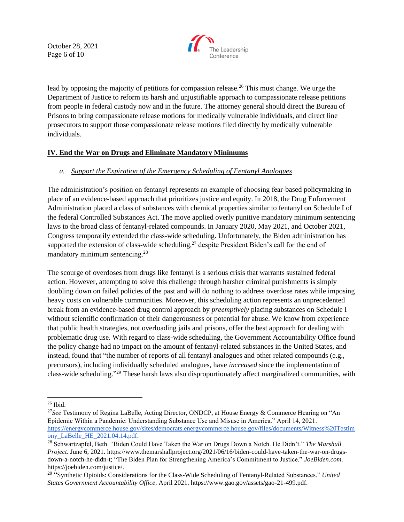October 28, 2021 Page 6 of 10



lead by opposing the majority of petitions for compassion release.<sup>26</sup> This must change. We urge the Department of Justice to reform its harsh and unjustifiable approach to compassionate release petitions from people in federal custody now and in the future. The attorney general should direct the Bureau of Prisons to bring compassionate release motions for medically vulnerable individuals, and direct line prosecutors to support those compassionate release motions filed directly by medically vulnerable individuals.

## **IV. End the War on Drugs and Eliminate Mandatory Minimums**

## *a. Support the Expiration of the Emergency Scheduling of Fentanyl Analogues*

The administration's position on fentanyl represents an example of choosing fear-based policymaking in place of an evidence-based approach that prioritizes justice and equity. In 2018, the Drug Enforcement Administration placed a class of substances with chemical properties similar to fentanyl on Schedule I of the federal Controlled Substances Act. The move applied overly punitive mandatory minimum sentencing laws to the broad class of fentanyl-related compounds. In January 2020, May 2021, and October 2021, Congress temporarily extended the class-wide scheduling. Unfortunately, the Biden administration has supported the extension of class-wide scheduling,<sup>27</sup> despite President Biden's call for the end of mandatory minimum sentencing.<sup>28</sup>

The scourge of overdoses from drugs like fentanyl is a serious crisis that warrants sustained federal action. However, attempting to solve this challenge through harsher criminal punishments is simply doubling down on failed policies of the past and will do nothing to address overdose rates while imposing heavy costs on vulnerable communities. Moreover, this scheduling action represents an unprecedented break from an evidence-based drug control approach by *preemptively* placing substances on Schedule I without scientific confirmation of their dangerousness or potential for abuse. We know from experience that public health strategies, not overloading jails and prisons, offer the best approach for dealing with problematic drug use. With regard to class-wide scheduling, the Government Accountability Office found the policy change had no impact on the amount of fentanyl-related substances in the United States, and instead, found that "the number of reports of all fentanyl analogues and other related compounds (e.g., precursors), including individually scheduled analogues, have *increased* since the implementation of class-wide scheduling." <sup>29</sup> These harsh laws also disproportionately affect marginalized communities, with

 $26$  Ibid.

<sup>27</sup>*See* Testimony of Regina LaBelle, Acting Director, ONDCP, at House Energy & Commerce Hearing on "An Epidemic Within a Pandemic: Understanding Substance Use and Misuse in America." April 14, 2021. [https://energycommerce.house.gov/sites/democrats.energycommerce.house.gov/files/documents/Witness%20Testim](https://energycommerce.house.gov/sites/democrats.energycommerce.house.gov/files/documents/Witness%20Testimony_LaBelle_HE_2021.04.14.pdf) [ony\\_LaBelle\\_HE\\_2021.04.14.pdf.](https://energycommerce.house.gov/sites/democrats.energycommerce.house.gov/files/documents/Witness%20Testimony_LaBelle_HE_2021.04.14.pdf)

<sup>28</sup> Schwartzapfel, Beth. "Biden Could Have Taken the War on Drugs Down a Notch. He Didn't." *The Marshall Project*. June 6, 2021. [https://www.themarshallproject.org/2021/06/16/biden-could-have-taken-the-war-on-drugs](https://www.themarshallproject.org/2021/06/16/biden-could-have-taken-the-war-on-drugs-down-a-notch-he-didn-t)[down-a-notch-he-didn-t;](https://www.themarshallproject.org/2021/06/16/biden-could-have-taken-the-war-on-drugs-down-a-notch-he-didn-t) "The Biden Plan for Strengthening America's Commitment to Justice." *JoeBiden.com*. [https://joebiden.com/justice/.](https://joebiden.com/justice/)

<sup>29</sup> "Synthetic Opioids: Considerations for the Class-Wide Scheduling of Fentanyl-Related Substances." *United States Government Accountability Office*. April 2021. https://www.gao.gov/assets/gao-21-499.pdf.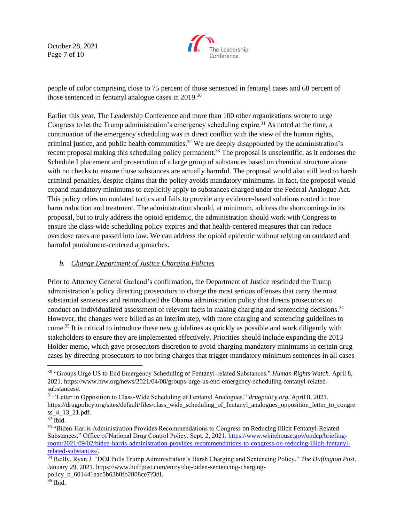October 28, 2021 Page 7 of 10



people of color comprising close to 75 percent of those sentenced in fentanyl cases and 68 percent of those sentenced in fentanyl analogue cases in 2019.<sup>30</sup>

Earlier this year, The Leadership Conference and more than 100 other organizations wrote to urge Congress to let the Trump administration's emergency scheduling expire.<sup>31</sup> As noted at the time, a continuation of the emergency scheduling was in direct conflict with the view of the human rights, criminal justice, and public health communities.<sup>32</sup> We are deeply disappointed by the administration's recent proposal making this scheduling policy permanent.<sup>33</sup> The proposal is unscientific, as it endorses the Schedule I placement and prosecution of a large group of substances based on chemical structure alone with no checks to ensure those substances are actually harmful. The proposal would also still lead to harsh criminal penalties, despite claims that the policy avoids mandatory minimums. In fact, the proposal would expand mandatory minimums to explicitly apply to substances charged under the Federal Analogue Act. This policy relies on outdated tactics and fails to provide any evidence-based solutions rooted in true harm reduction and treatment. The administration should, at minimum, address the shortcomings in its proposal, but to truly address the opioid epidemic, the administration should work with Congress to ensure the class-wide scheduling policy expires and that health-centered measures that can reduce overdose rates are passed into law. We can address the opioid epidemic without relying on outdated and harmful punishment-centered approaches.

#### *b. Change Department of Justice Charging Policies*

Prior to Attorney General Garland's confirmation, the Department of Justice rescinded the Trump administration's policy directing prosecutors to charge the most serious offenses that carry the most substantial sentences and reintroduced the Obama administration policy that directs prosecutors to conduct an individualized assessment of relevant facts in making charging and sentencing decisions.<sup>34</sup> However, the changes were billed as an interim step, with more charging and sentencing guidelines to come.<sup>35</sup> It is critical to introduce these new guidelines as quickly as possible and work diligently with stakeholders to ensure they are implemented effectively. Priorities should include expanding the 2013 Holder memo, which gave prosecutors discretion to avoid charging mandatory minimums in certain drug cases by directing prosecutors to not bring charges that trigger mandatory minimum sentences in all cases

<sup>30</sup> "Groups Urge US to End Emergency Scheduling of Fentanyl-related Substances." *Human Rights Watch*. April 8, 2021. [https://www.hrw.org/news/2021/04/08/groups-urge-us-end-emergency-scheduling-fentanyl-related](https://www.hrw.org/news/2021/04/08/groups-urge-us-end-emergency-scheduling-fentanyl-related-substances)[substances#.](https://www.hrw.org/news/2021/04/08/groups-urge-us-end-emergency-scheduling-fentanyl-related-substances)

<sup>31</sup> "Letter in Opposition to Class-Wide Scheduling of Fentanyl Analogues." *drugpolicy.org.* April 8, 2021. [https://drugpolicy.org/sites/default/files/class\\_wide\\_scheduling\\_of\\_fentanyl\\_analogues\\_opposition\\_letter\\_to\\_congre](https://drugpolicy.org/sites/default/files/class_wide_scheduling_of_fentanyl_analogues_opposition_letter_to_congress_4_13_21.pdf) [ss\\_4\\_13\\_21.pdf.](https://drugpolicy.org/sites/default/files/class_wide_scheduling_of_fentanyl_analogues_opposition_letter_to_congress_4_13_21.pdf)

<sup>32</sup> Ibid.

<sup>&</sup>lt;sup>33</sup> "Biden-Harris Administration Provides Recommendations to Congress on Reducing Illicit Fentanyl-Related Substances." Office of National Drug Control Policy. Sept. 2, 2021. [https://www.whitehouse.gov/ondcp/briefing](https://www.whitehouse.gov/ondcp/briefing-room/2021/09/02/biden-harris-administration-provides-recommendations-to-congress-on-reducing-illicit-fentanyl-related-substances/)[room/2021/09/02/biden-harris-administration-provides-recommendations-to-congress-on-reducing-illicit-fentanyl](https://www.whitehouse.gov/ondcp/briefing-room/2021/09/02/biden-harris-administration-provides-recommendations-to-congress-on-reducing-illicit-fentanyl-related-substances/)[related-substances/.](https://www.whitehouse.gov/ondcp/briefing-room/2021/09/02/biden-harris-administration-provides-recommendations-to-congress-on-reducing-illicit-fentanyl-related-substances/)

<sup>34</sup> Reilly, Ryan J. "DOJ Pulls Trump Administration's Harsh Charging and Sentencing Policy." *The Huffington Post*. January 29, 2021[. https://www.huffpost.com/entry/doj-biden-sentencing-charging](https://www.huffpost.com/entry/doj-biden-sentencing-charging-policy_n_601441aac5b63b0fb2808ce7?3dl)[policy\\_n\\_601441aac5b63b0fb2808ce7?3dl.](https://www.huffpost.com/entry/doj-biden-sentencing-charging-policy_n_601441aac5b63b0fb2808ce7?3dl)

 $35$  Ibid.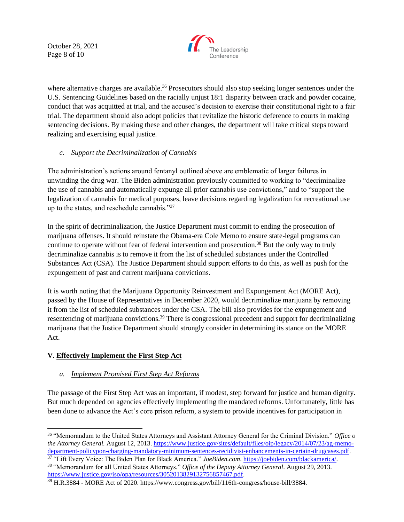October 28, 2021 Page 8 of 10



where alternative charges are available.<sup>36</sup> Prosecutors should also stop seeking longer sentences under the U.S. Sentencing Guidelines based on the racially unjust 18:1 disparity between crack and powder cocaine, conduct that was acquitted at trial, and the accused's decision to exercise their constitutional right to a fair trial. The department should also adopt policies that revitalize the historic deference to courts in making sentencing decisions. By making these and other changes, the department will take critical steps toward realizing and exercising equal justice.

## *c. Support the Decriminalization of Cannabis*

The administration's actions around fentanyl outlined above are emblematic of larger failures in unwinding the drug war. The Biden administration previously committed to working to "decriminalize the use of cannabis and automatically expunge all prior cannabis use convictions," and to "support the legalization of cannabis for medical purposes, leave decisions regarding legalization for recreational use up to the states, and reschedule cannabis."<sup>37</sup>

In the spirit of decriminalization, the Justice Department must commit to ending the prosecution of marijuana offenses. It should reinstate the Obama-era Cole Memo to ensure state-legal programs can continue to operate without fear of federal intervention and prosecution.<sup>38</sup> But the only way to truly decriminalize cannabis is to remove it from the list of scheduled substances under the Controlled Substances Act (CSA). The Justice Department should support efforts to do this, as well as push for the expungement of past and current marijuana convictions.

It is worth noting that the Marijuana Opportunity Reinvestment and Expungement Act (MORE Act), passed by the House of Representatives in December 2020, would decriminalize marijuana by removing it from the list of scheduled substances under the CSA. The bill also provides for the expungement and resentencing of marijuana convictions.<sup>39</sup> There is congressional precedent and support for decriminalizing marijuana that the Justice Department should strongly consider in determining its stance on the MORE Act.

# **V. Effectively Implement the First Step Act**

## *a. Implement Promised First Step Act Reforms*

The passage of the First Step Act was an important, if modest, step forward for justice and human dignity. But much depended on agencies effectively implementing the mandated reforms. Unfortunately, little has been done to advance the Act's core prison reform, a system to provide incentives for participation in

<sup>36</sup> "Memorandum to the United States Attorneys and Assistant Attorney General for the Criminal Division." *Office o the Attorney General.* August 12, 2013. [https://www.justice.gov/sites/default/files/oip/legacy/2014/07/23/ag-memo](https://www.justice.gov/sites/default/files/oip/legacy/2014/07/23/ag-memo-department-policypon-charging-mandatory-minimum-sentences-recidivist-enhancements-in-certain-drugcases.pdf)[department-policypon-charging-mandatory-minimum-sentences-recidivist-enhancements-in-certain-drugcases.pdf.](https://www.justice.gov/sites/default/files/oip/legacy/2014/07/23/ag-memo-department-policypon-charging-mandatory-minimum-sentences-recidivist-enhancements-in-certain-drugcases.pdf)

<sup>37</sup> "Lift Every Voice: The Biden Plan for Black America." *JoeBiden.com*. [https://joebiden.com/blackamerica/.](https://joebiden.com/blackamerica/) <sup>38</sup> "Memorandum for all United States Attorneys." *Office of the Deputy Attorney General*. August 29, 2013. [https://www.justice.gov/iso/opa/resources/3052013829132756857467.pdf.](https://www.justice.gov/iso/opa/resources/3052013829132756857467.pdf) 

<sup>39</sup> H.R.3884 - MORE Act of 2020. https://www.congress.gov/bill/116th-congress/house-bill/3884.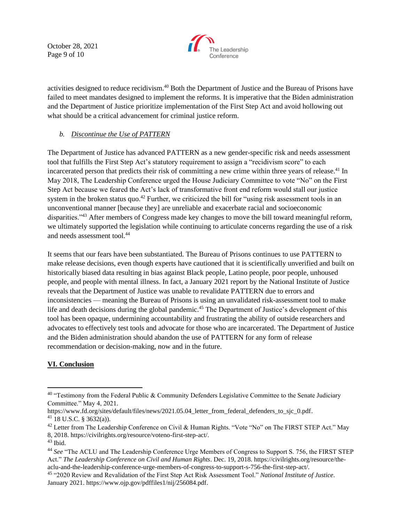October 28, 2021 Page 9 of 10



activities designed to reduce recidivism.<sup>40</sup> Both the Department of Justice and the Bureau of Prisons have failed to meet mandates designed to implement the reforms. It is imperative that the Biden administration and the Department of Justice prioritize implementation of the First Step Act and avoid hollowing out what should be a critical advancement for criminal justice reform.

# *b. Discontinue the Use of PATTERN*

The Department of Justice has advanced PATTERN as a new gender-specific risk and needs assessment tool that fulfills the First Step Act's statutory requirement to assign a "recidivism score" to each incarcerated person that predicts their risk of committing a new crime within three years of release.<sup>41</sup> In May 2018, The Leadership Conference urged the House Judiciary Committee to vote "No" on the First Step Act because we feared the Act's lack of transformative front end reform would stall our justice system in the broken status quo.<sup>42</sup> Further, we criticized the bill for "using risk assessment tools in an unconventional manner [because they] are unreliable and exacerbate racial and socioeconomic disparities."<sup>43</sup> After members of Congress made key changes to move the bill toward meaningful reform, we ultimately supported the legislation while continuing to articulate concerns regarding the use of a risk and needs assessment tool.<sup>44</sup>

It seems that our fears have been substantiated. The Bureau of Prisons continues to use PATTERN to make release decisions, even though experts have cautioned that it is scientifically unverified and built on historically biased data resulting in bias against Black people, Latino people, poor people, unhoused people, and people with mental illness. In fact, a January 2021 report by the National Institute of Justice reveals that the Department of Justice was unable to revalidate PATTERN due to errors and inconsistencies — meaning the Bureau of Prisons is using an unvalidated risk-assessment tool to make life and death decisions during the global pandemic.<sup>45</sup> The Department of Justice's development of this tool has been opaque, undermining accountability and frustrating the ability of outside researchers and advocates to effectively test tools and advocate for those who are incarcerated. The Department of Justice and the Biden administration should abandon the use of PATTERN for any form of release recommendation or decision-making, now and in the future.

# **VI. Conclusion**

<sup>&</sup>lt;sup>40</sup> "Testimony from the Federal Public & Community Defenders Legislative Committee to the Senate Judiciary Committee." May 4, 2021.

[https://www.fd.org/sites/default/files/news/2021.05.04\\_letter\\_from\\_federal\\_defenders\\_to\\_sjc\\_0.pdf.](https://www.fd.org/sites/default/files/news/2021.05.04_letter_from_federal_defenders_to_sjc_0.pdf)  $41$  18 U.S.C. § 3632(a)).

<sup>&</sup>lt;sup>42</sup> Letter from The Leadership Conference on Civil & Human Rights. "Vote "No" on The FIRST STEP Act." May 8, 2018. [https://civilrights.org/resource/voteno-first-step-act/.](https://civilrights.org/resource/voteno-first-step-act/) 

 $43$  Ibid.

<sup>44</sup> *See* "The ACLU and The Leadership Conference Urge Members of Congress to Support S. 756, the FIRST STEP Act." *The Leadership Conference on Civil and Human Rights*. Dec. 19, 2018. [https://civilrights.org/resource/the](https://civilrights.org/resource/the-aclu-and-the-leadership-conference-urge-members-of-congress-to-support-s-756-the-first-step-act/)[aclu-and-the-leadership-conference-urge-members-of-congress-to-support-s-756-the-first-step-act/.](https://civilrights.org/resource/the-aclu-and-the-leadership-conference-urge-members-of-congress-to-support-s-756-the-first-step-act/)

<sup>45</sup> "2020 Review and Revalidation of the First Step Act Risk Assessment Tool." *National Institute of Justice*. January 2021[. https://www.ojp.gov/pdffiles1/nij/256084.pdf.](https://www.ojp.gov/pdffiles1/nij/256084.pdf)